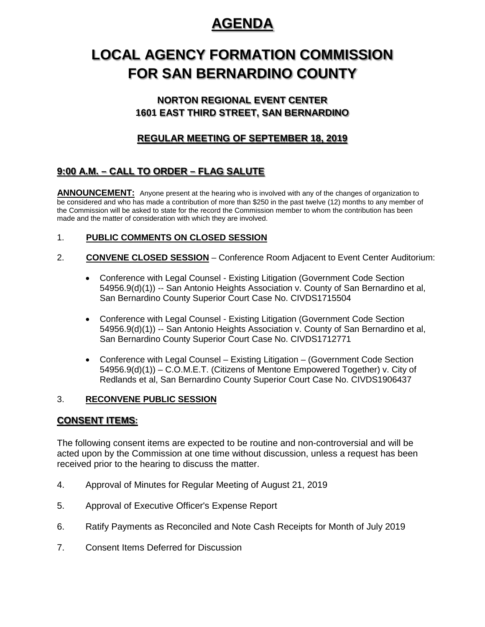# **AGENDA**

# **LOCAL AGENCY FORMATION COMMISSION FOR SAN BERNARDINO COUNTY**

## **NORTON REGIONAL EVENT CENTER 1601 EAST THIRD STREET, SAN BERNARDINO**

## **REGULAR MEETING OF SEPTEMBER 18, 2019**

# **9:00 A.M. – CALL TO ORDER – FLAG SALUTE**

**ANNOUNCEMENT:** Anyone present at the hearing who is involved with any of the changes of organization to be considered and who has made a contribution of more than \$250 in the past twelve (12) months to any member of the Commission will be asked to state for the record the Commission member to whom the contribution has been made and the matter of consideration with which they are involved.

## 1. **PUBLIC COMMENTS ON CLOSED SESSION**

- 2. **CONVENE CLOSED SESSION** Conference Room Adjacent to Event Center Auditorium:
	- Conference with Legal Counsel Existing Litigation (Government Code Section 54956.9(d)(1)) -- San Antonio Heights Association v. County of San Bernardino et al, San Bernardino County Superior Court Case No. CIVDS1715504
	- Conference with Legal Counsel Existing Litigation (Government Code Section 54956.9(d)(1)) -- San Antonio Heights Association v. County of San Bernardino et al, San Bernardino County Superior Court Case No. CIVDS1712771
	- Conference with Legal Counsel Existing Litigation (Government Code Section 54956.9(d)(1)) – C.O.M.E.T. (Citizens of Mentone Empowered Together) v. City of Redlands et al, San Bernardino County Superior Court Case No. CIVDS1906437

### 3. **RECONVENE PUBLIC SESSION**

### **CONSENT ITEMS:**

The following consent items are expected to be routine and non-controversial and will be acted upon by the Commission at one time without discussion, unless a request has been received prior to the hearing to discuss the matter.

- 4. Approval of Minutes for Regular Meeting of August 21, 2019
- 5. Approval of Executive Officer's Expense Report
- 6. Ratify Payments as Reconciled and Note Cash Receipts for Month of July 2019
- 7. Consent Items Deferred for Discussion